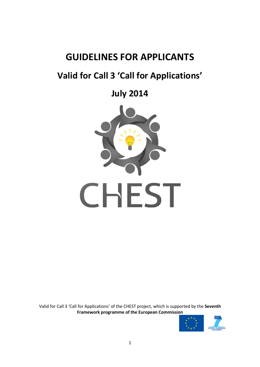# **GUIDELINES FOR APPLICANTS**

# **Valid for Call 3 'Call for Applications'**

**July 2014**



Valid for Call 3 'Call for Applications' of the CHEST project, which is supported by the **Seventh Framework programme of the European Commission**

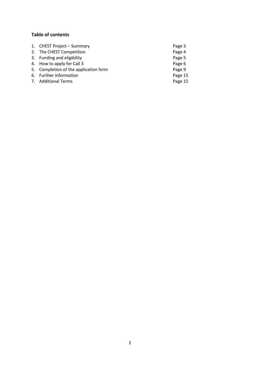# **Table of contents**

| 1. CHEST Project - Summary            | Page 3  |
|---------------------------------------|---------|
| 2. The CHEST Competition              | Page 4  |
| 3. Funding and eligibility            | Page 5  |
| 4. How to apply for Call 3            | Page 6  |
| 5. Completion of the application form | Page 9  |
| 6. Further information                | Page 15 |
| 7. Additional Terms                   | Page 15 |
|                                       |         |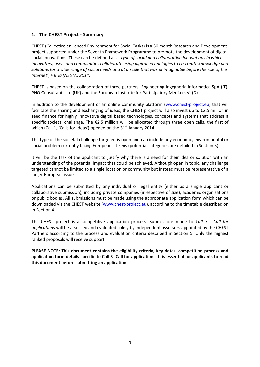# **1. The CHEST Project - Summary**

CHEST (Collective enHanced Environment for Social Tasks) is a 30 month Research and Development project supported under the Seventh Framework Programme to promote the development of digital social innovations. These can be defined as a *'type of social and collaborative innovations in which innovators, users and communities collaborate using digital technologies to co-create knowledge and solutions for a wide range of social needs and at a scale that was unimaginable before the rise of the Internet', F Bria (NESTA, 2014)*

CHEST is based on the collaboration of three partners, Engineering Ingegneria Informatica SpA (IT), PNO Consultants Ltd (UK) and the European Institute for Participatory Media e. V. (D).

In addition to the development of an online community platform [\(www.chest-project.eu\)](http://www.chest-project.eu/) that will facilitate the sharing and exchanging of ideas, the CHEST project will also invest up to €2.5 million in seed finance for highly innovative digital based technologies, concepts and systems that address a specific societal challenge. The €2.5 million will be allocated through three open calls, the first of which (Call 1, 'Calls for Ideas') opened on the  $31<sup>st</sup>$  January 2014.

The type of the societal challenge targeted is open and can include any economic, environmental or social problem currently facing European citizens (potential categories are detailed in Section 5).

It will be the task of the applicant to justify why there is a need for their idea or solution with an understanding of the potential impact that could be achieved. Although open in topic, any challenge targeted cannot be limited to a single location or community but instead must be representative of a larger European issue.

Applications can be submitted by any individual or legal entity (either as a single applicant or collaborative submission), including private companies (irrespective of size), academic organisations or public bodies. All submissions must be made using the appropriate application form which can be downloaded via the CHEST website [\(www.chest-project.eu\)](http://www.chest-project.eu/), according to the timetable described on in Section 4.

The CHEST project is a competitive application process. Submissions made to *Call 3 - Call for applications* will be assessed and evaluated solely by independent assessors appointed by the CHEST Partners according to the process and evaluation criteria described in Section 5. Only the highest ranked proposals will receive support.

**PLEASE NOTE: This document contains the eligibility criteria, key dates, competition process and application form details specific to Call 3- Call for applications. It is essential for applicants to read this document before submitting an application.**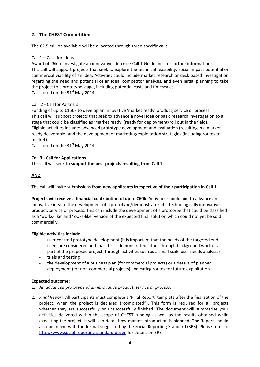# **2. The CHEST Competition**

The €2.5 million available will be allocated through three specific calls:

## Call 1 – Calls for Ideas

Award of €6k to investigate an innovative idea (see Call 1 Guidelines for further information). This call will support projects that seek to explore the technical feasibility, social impact potential or commercial viability of an idea. Activities could include market research or desk based investigation regarding the need and potential of an idea, competitor analysis, and even initial planning to take the project to a prototype stage, including potential costs and timescales. Call closed on the  $31<sup>st</sup>$  May 2014

# Call 2 - Call for Partners

Funding of up to €150k to develop an innovative 'market ready' product, service or process. This call will support projects that seek to advance a novel idea or basic research investigation to a stage that could be classified as 'market ready' (ready for deployment/roll out in the field). Eligible activities include: advanced prototype development and evaluation (resulting in a market ready deliverable) and the development of marketing/exploitation strategies (including routes to market).

Call closed on the 31<sup>st</sup> May 2014

# **Call 3 - Call for Applications**.

This call will seek to **support the best projects resulting from Call 1**.

# **AND**

The call will invite submissions **from new applicants irrespective of their participation in Call 1**.

**Projects will receive a financial contribution of up to €60k**. Activities should aim to advance an innovative idea to the development of a prototype/demonstrator of a technologically innovative product, service or process. This can include the development of a prototype that could be classified as a 'works-like' and 'looks-like' version of the expected final solution which could not yet be sold commercially.

## **Eligible activities include**

- user centred prototype development (it is important that the needs of the targeted end users are considered and that this is demonstrated either through background work or as part of the proposed project through activities such as a small scale user needs analysis)
- trials and testing
- the development of a business plan (for commercial projects) or a details of planned deployment (for non-commercial projects) indicating routes for future exploitation.

## **Expected outcome:**

- 1. *An advanced prototype of an innovative product, service or process.*
- 2. *Final Report.* All participants must complete a 'Final Report' template after the finalisation of the project, when the project is declared ("completed"). This form is required for all projects whether they are successfully or unsuccessfully finished. The document will summarise your activities delivered within the scope of CHEST funding as well as the results obtained while executing the project. It will also detail how market introduction is planned. The Report should also be in line with the format suggested by the Social Reporting Standard (SRS). Please refer to <http://www.social-reporting-standard.de/en> for details on SRS.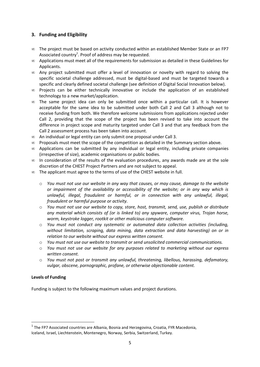# **3. Funding and Eligibility**

- ∞ The project must be based on activity conducted within an established Member State or an FP7 Associated country<sup>1</sup>. Proof of address may be requested.
- ∞ Applications must meet all of the requirements for submission as detailed in these Guidelines for Applicants.
- ∞ Any project submitted must offer a level of innovation or novelty with regard to solving the specific societal challenge addressed, must be digital-based and must be targeted towards a specific and clearly defined societal challenge (see definition of Digital Social Innovation below).
- ∞ Projects can be either technically innovative or include the application of an established technology to a new market/application.
- $\infty$  The same project idea can only be submitted once within a particular call. It is however acceptable for the same idea to be submitted under both Call 2 and Call 3 although not to receive funding from both. We therefore welcome submissions from applications rejected under Call 2, providing that the scope of the project has been revised to take into account the difference in project scope and maturity targeted under Call 3 and that any feedback from the Call 2 assessment process has been taken into account.
- ∞ An individual or legal entity can only submit one proposal under Call 3.
- ∞ Proposals must meet the scope of the competition as detailed in the Summary section above.
- ∞ Applications can be submitted by any individual or legal entity, including private companies (irrespective of size), academic organisations or public bodies.
- $\infty$  In consideration of the results of the evaluation procedures, any awards made are at the sole discretion of the CHEST Project Partners and are not subject to appeal.
- ∞ The applicant must agree to the terms of use of the CHEST website in full.
	- o *You must not use our website in any way that causes, or may cause, damage to the website or impairment of the availability or accessibility of the website; or in any way which is unlawful, illegal, fraudulent or harmful, or in connection with any unlawful, illegal, fraudulent or harmful purpose or activity.*
	- o *You must not use our website to copy, store, host, transmit, send, use, publish or distribute any material which consists of (or is linked to) any spyware, computer virus, Trojan horse, worm, keystroke logger, rootkit or other malicious computer software.*
	- o *You must not conduct any systematic or automated data collection activities (including, without limitation, scraping, data mining, data extraction and data harvesting) on or in relation to our website without our express written consent.*
	- o *You must not use our website to transmit or send unsolicited commercial communications.*
	- o *You must not use our website for any purposes related to marketing without our express written consent.*
	- o *You must not post or transmit any unlawful, threatening, libellous, harassing, defamatory, vulgar, obscene, pornographic, profane, or otherwise objectionable content.*

#### **Levels of Funding**

**.** 

Funding is subject to the following maximum values and project durations.

 $<sup>1</sup>$  The FP7 Associated countries are Albania, Bosnia and Herzegovina, Croatia, FYR Macedonia,</sup> Iceland, Israel, Liechtenstein, Montenegro, Norway, Serbia, Switzerland, Turkey.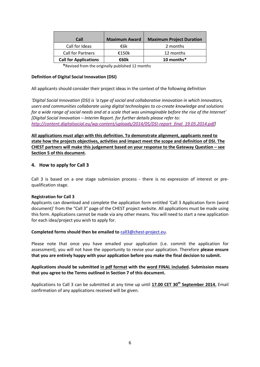| Call                         | <b>Maximum Award</b> | <b>Maximum Project Duration</b> |
|------------------------------|----------------------|---------------------------------|
| Call for Ideas               | €6k                  | 2 months                        |
| Call for Partners            | €150 $k$             | 12 months                       |
| <b>Call for Applications</b> | €60k                 | 10 months*                      |

**\***Revised from the originally published 12 months

#### **Definition of Digital Social Innovation (DSI)**

All applicants should consider their project ideas in the context of the following definition

*'Digital Social Innovation (DSI) is 'a type of social and collaborative innovation in which innovators, users and communities collaborate using digital technologies to co-create knowledge and solutions for a wide range of social needs and at a scale that was unimaginable before the rise of the Internet' [Digital Social Innovation – Interim Report. for further details please refer to: [http://content.digitalsocial.eu/wp-content/uploads/2014/05/DSI-report\\_final\\_19.05.2014.pdf\]](http://content.digitalsocial.eu/wp-content/uploads/2014/05/DSI-report_final_19.05.2014.pdf)*

**All applications must align with this definition. To demonstrate alignment, applicants need to state how the projects objectives, activities and impact meet the scope and definition of DSI. The CHEST partners will make this judgement based on your response to the Gateway Question – see Section 5 of this document.**

#### **4. How to apply for Call 3**

Call 3 is based on a one stage submission process - there is no expression of interest or prequalification stage.

#### **Registration for Call 3**

Applicants can download and complete the application form entitled 'Call 3 Application form (word document)' from the "Call 3" page of the CHEST project website. All applications must be made using this form. Applications cannot be made via any other means. You will need to start a new application for each idea/project you wish to apply for.

#### **Completed forms should then be emailed to** [call3@chest-project.eu.](mailto:call3@chest-project.eu)

Please note that once you have emailed your application (i.e. commit the application for assessment), you will not have the opportunity to revise your application. Therefore **please ensure that you are entirely happy with your application before you make the final decision to submit.**

#### **Applications should be submitted in pdf format with the word FINAL included. Submission means that you agree to the Terms outlined in Section 7 of this document.**

Applications to Call 3 can be submitted at any time up until **17.00 CET 30th September 2014.** Email confirmation of any applications received will be given.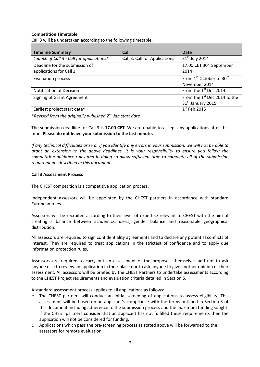#### **Competition Timetable**

Call 3 will be undertaken according to the following timetable.

| <b>Timeline Summary</b>                   | Call                          | <b>Date</b>                                      |
|-------------------------------------------|-------------------------------|--------------------------------------------------|
| Launch of Call 3 - Call for applications* | Call 3: Call for Applications | 31 <sup>st</sup> July 2014                       |
| Deadline for the submission of            |                               | 17.00 CET 30 <sup>th</sup> September             |
| applications for Call 3                   |                               | 2014                                             |
| <b>Evaluation process</b>                 |                               | From 1 <sup>st</sup> October to 30 <sup>th</sup> |
|                                           |                               | November 2014                                    |
| <b>Notification of Decision</b>           |                               | From the 1st Dec 2014                            |
| Signing of Grant Agreement                |                               | From the 1 <sup>st</sup> Dec 2014 to the         |
|                                           |                               | 31st January 2015                                |
| Earliest project start date*              |                               | $1st$ Feb 2015                                   |

\**Revised from the originally published 2nd Jan start date.*

The submission deadline for Call 3 is **17.00 CET**. We are unable to accept any applications after this time. **Please do not leave your submission to the last minute.**

*If any technical difficulties arise or if you identify any errors in your submission, we will not be able to grant an extension to the above deadlines. It is your responsibility to ensure you follow the competition guidance rules and in doing so allow sufficient time to complete all of the submission requirements described in this document.*

#### **Call 3 Assessment Process**

The CHEST competition is a competitive application process.

Independent assessors will be appointed by the CHEST partners in accordance with standard European rules.

Assessors will be recruited according to their level of expertise relevant to CHEST with the aim of creating a balance between academics, users, gender balance and reasonable geographical distribution.

All assessors are required to sign confidentiality agreements and to declare any potential conflicts of interest. They are required to treat applications in the strictest of confidence and to apply due information protection rules.

Assessors are required to carry out an assessment of the proposals themselves and not to ask anyone else to review an application in their place nor to ask anyone to give another opinion of their assessment. All assessors will be briefed by the CHEST Partners to undertake assessments according to the CHEST Project requirements and evaluation criteria detailed in Section 5.

A standard assessment process applies to all applications as follows:

- o The CHEST partners will conduct an initial screening of applications to assess eligibility. This assessment will be based on an applicant's compliance with the terms outlined in Section 3 of this document including adherence to the submission process and the maximum funding sought. If the CHEST partners consider that an applicant has not fulfilled these requirements then the application will not be considered for funding.
- o Applications which pass the pre-screening process as stated above will be forwarded to the assessors for remote evaluation.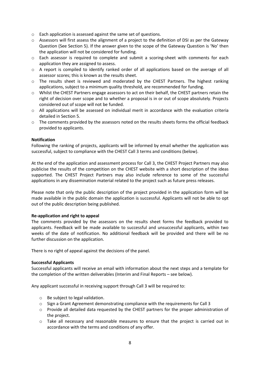- o Each application is assessed against the same set of questions.
- o Assessors will first assess the alignment of a project to the definition of DSI as per the Gateway Question (See Section 5). If the answer given to the scope of the Gateway Question is 'No' then the application will not be considered for funding.
- o Each assessor is required to complete and submit a scoring-sheet with comments for each application they are assigned to assess.
- $\circ$  A report is compiled to identify ranked order of all applications based on the average of all assessor scores; this is known as the results sheet.
- o The results sheet is reviewed and moderated by the CHEST Partners. The highest ranking applications, subject to a minimum quality threshold, are recommended for funding.
- o Whilst the CHEST Partners engage assessors to act on their behalf, the CHEST partners retain the right of decision over scope and to whether a proposal is in or out of scope absolutely. Projects considered out of scope will not be funded.
- o All applications will be assessed on individual merit in accordance with the evaluation criteria detailed in Section 5.
- $\circ$  The comments provided by the assessors noted on the results sheets forms the official feedback provided to applicants.

#### **Notification**

Following the ranking of projects, applicants will be informed by email whether the application was successful, subject to compliance with the CHEST Call 3 terms and conditions (below).

At the end of the application and assessment process for Call 3, the CHEST Project Partners may also publicise the results of the competition on the CHEST website with a short description of the ideas supported. The CHEST Project Partners may also include reference to some of the successful applications in any dissemination material related to the project such as future press releases.

Please note that only the public description of the project provided in the application form will be made available in the public domain the application is successful. Applicants will not be able to opt out of the public description being published.

#### **Re-application and right to appeal**

The comments provided by the assessors on the results sheet forms the feedback provided to applicants. Feedback will be made available to successful and unsuccessful applicants, within two weeks of the date of notification. No additional feedback will be provided and there will be no further discussion on the application.

There is no right of appeal against the decisions of the panel.

#### **Successful Applicants**

Successful applicants will receive an email with information about the next steps and a template for the completion of the written deliverables (Interim and Final Reports – see below).

Any applicant successful in receiving support through Call 3 will be required to:

- o Be subject to legal validation.
- $\circ$  Sign a Grant Agreement demonstrating compliance with the requirements for Call 3
- o Provide all detailed data requested by the CHEST partners for the proper administration of the project.
- o Take all necessary and reasonable measures to ensure that the project is carried out in accordance with the terms and conditions of any offer.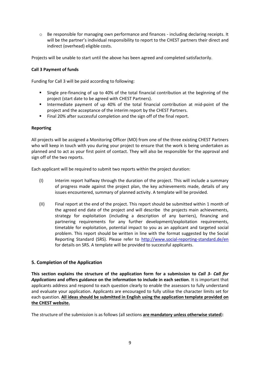o Be responsible for managing own performance and finances - including declaring receipts. It will be the partner's individual responsibility to report to the CHEST partners their direct and indirect (overhead) eligible costs.

Projects will be unable to start until the above has been agreed and completed satisfactorily.

#### **Call 3 Payment of funds**

Funding for Call 3 will be paid according to following:

- Single pre-financing of up to 40% of the total financial contribution at the beginning of the project (start date to be agreed with CHEST Partners).
- **Intermediate payment of up 40% of the total financial contribution at mid-point of the** project and the acceptance of the interim report by the CHEST Partners.
- Final 20% after successful completion and the sign off of the final report.

#### **Reporting**

All projects will be assigned a Monitoring Officer (MO) from one of the three existing CHEST Partners who will keep in touch with you during your project to ensure that the work is being undertaken as planned and to act as your first point of contact. They will also be responsible for the approval and sign off of the two reports.

Each applicant will be required to submit two reports within the project duration:

- (I) Interim report halfway through the duration of the project. This will include a summary of progress made against the project plan, the key achievements made, details of any issues encountered, summary of planned activity. A template will be provided.
- (II) Final report at the end of the project. This report should be submitted within 1 month of the agreed end date of the project and will describe the projects main achievements, strategy for exploitation (including a description of any barriers), financing and partnering requirements for any further development/exploitation requirements, timetable for exploitation, potential impact to you as an applicant and targeted social problem. This report should be written in line with the format suggested by the Social Reporting Standard (SRS). Please refer to<http://www.social-reporting-standard.de/en> for details on SRS. A template will be provided to successful applicants.

## **5. Completion of the Application**

**This section explains the structure of the application form for a submission to** *Call 3- Call for Applications* **and offers guidance on the information to include in each section**. It is important that applicants address and respond to each question clearly to enable the assessors to fully understand and evaluate your application. Applicants are encouraged to fully utilise the character limits set for each question. **All ideas should be submitted in English using the application template provided on the CHEST website.**

The structure of the submission is as follows (all sections **are mandatory unless otherwise stated**):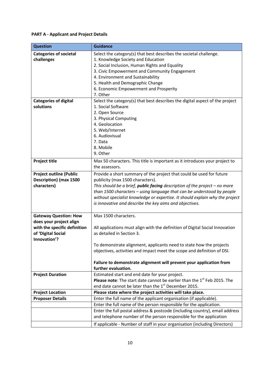# **PART A - Applicant and Project Details**

| <b>Question</b>                                                                                                               | <b>Guidance</b>                                                                                                                                                                                                                                                                                                                                                                                                      |
|-------------------------------------------------------------------------------------------------------------------------------|----------------------------------------------------------------------------------------------------------------------------------------------------------------------------------------------------------------------------------------------------------------------------------------------------------------------------------------------------------------------------------------------------------------------|
| <b>Categories of societal</b><br>challenges                                                                                   | Select the category(s) that best describes the societal challenge.<br>1. Knowledge Society and Education<br>2. Social Inclusion, Human Rights and Equality<br>3. Civic Empowerment and Community Engagement<br>4. Environment and Sustainability<br>5. Health and Demographic Change<br>6. Economic Empowerment and Prosperity                                                                                       |
| <b>Categories of digital</b><br>solutions                                                                                     | 7. Other<br>Select the category(s) that best describes the digital aspect of the project<br>1. Social Software<br>2. Open Source<br>3. Physical Computing<br>4. Geolocation<br>5. Web/Internet<br>6. Audiovisual<br>7. Data<br>8. Mobile<br>9. Other                                                                                                                                                                 |
| <b>Project title</b>                                                                                                          | Max 50 characters. This title is important as it introduces your project to<br>the assessors.                                                                                                                                                                                                                                                                                                                        |
| <b>Project outline (Public</b><br><b>Description) (max 1500</b><br>characters)                                                | Provide a short summary of the project that could be used for future<br>publicity (max 1500 characters).<br>This should be a brief, <i>public facing</i> description of the project $-$ no more<br>than 1500 characters - using language that can be understood by people<br>without specialist knowledge or expertise. It should explain why the project<br>is innovative and describe the key aims and objectives. |
| <b>Gateway Question: How</b><br>does your project align<br>with the specific definition<br>of 'Digital Social<br>Innovation'? | Max 1500 characters.<br>All applications must align with the definition of Digital Social Innovation<br>as detailed in Section 3.<br>To demonstrate alignment, applicants need to state how the projects<br>objectives, activities and impact meet the scope and definition of DSI.<br>Failure to demonstrate alignment will prevent your application from<br>further evaluation.                                    |
| <b>Project Duration</b>                                                                                                       | Estimated start and end date for your project.<br>Please note: The start date cannot be earlier than the 1 <sup>st</sup> Feb 2015. The<br>end date cannot be later than the 1st December 2015.                                                                                                                                                                                                                       |
| <b>Project Location</b>                                                                                                       | Please state where the project activities will take place.                                                                                                                                                                                                                                                                                                                                                           |
| <b>Proposer Details</b>                                                                                                       | Enter the full name of the applicant organisation (if applicable).                                                                                                                                                                                                                                                                                                                                                   |
|                                                                                                                               | Enter the full name of the person responsible for the application.<br>Enter the full postal address & postcode (including country), email address                                                                                                                                                                                                                                                                    |
|                                                                                                                               | and telephone number of the person responsible for the application<br>If applicable - Number of staff in your organisation (including Directors)                                                                                                                                                                                                                                                                     |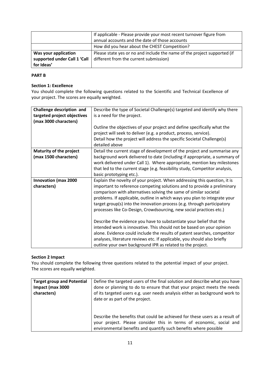|                              | If applicable - Please provide your most recent turnover figure from     |
|------------------------------|--------------------------------------------------------------------------|
|                              | annual accounts and the date of those accounts                           |
|                              | How did you hear about the CHEST Competition?                            |
| Was your application         | Please state yes or no and include the name of the project supported (if |
| supported under Call 1 'Call | different from the current submission)                                   |
| for Ideas'                   |                                                                          |

# **PART B**

#### **Section 1: Excellence**

You should complete the following questions related to the Scientific and Technical Excellence of your project. The scores are equally weighted.

| Challenge description and      | Describe the type of Societal Challenge(s) targeted and identify why there  |
|--------------------------------|-----------------------------------------------------------------------------|
| targeted project objectives    | is a need for the project.                                                  |
| (max 3000 characters)          |                                                                             |
|                                | Outline the objectives of your project and define specifically what the     |
|                                | project will seek to deliver (e.g. a product, process, service).            |
|                                | Detail how the project will address the specific Societal Challenge(s)      |
|                                | detailed above                                                              |
| <b>Maturity of the project</b> | Detail the current stage of development of the project and summarise any    |
| (max 1500 characters)          | background work delivered to date (including if appropriate, a summary of   |
|                                | work delivered under Call 1). Where appropriate, mention key milestones     |
|                                | that led to the current stage (e.g. feasibility study, Competitor analysis, |
|                                | basic prototyping etc.).                                                    |
| <b>Innovation (max 2000</b>    | Explain the novelty of your project. When addressing this question, it is   |
| characters)                    | important to reference competing solutions and to provide a preliminary     |
|                                | comparison with alternatives solving the same of similar societal           |
|                                | problems. If applicable, outline in which ways you plan to integrate your   |
|                                | target group(s) into the innovation process (e.g. through participatory     |
|                                | processes like Co-Design, Crowdsourcing, new social practices etc.)         |
|                                |                                                                             |
|                                | Describe the evidence you have to substantiate your belief that the         |
|                                | intended work is innovative. This should not be based on your opinion       |
|                                | alone. Evidence could include the results of patent searches, competitor    |
|                                | analyses, literature reviews etc. If applicable, you should also briefly    |
|                                | outline your own background IPR as related to the project.                  |

## **Section 2 Impact**

You should complete the following three questions related to the potential impact of your project. The scores are equally weighted.

| <b>Target group and Potential</b> | Define the targeted users of the final solution and describe what you have                                                                                                                                             |
|-----------------------------------|------------------------------------------------------------------------------------------------------------------------------------------------------------------------------------------------------------------------|
| Impact (max 3000                  | done or planning to do to ensure that that your project meets the needs                                                                                                                                                |
| characters)                       | of its targeted users e.g. user needs analysis either as background work to<br>date or as part of the project.                                                                                                         |
|                                   | Describe the benefits that could be achieved for these users as a result of<br>your project. Please consider this in terms of economic, social and<br>environmental benefits and quantify such benefits where possible |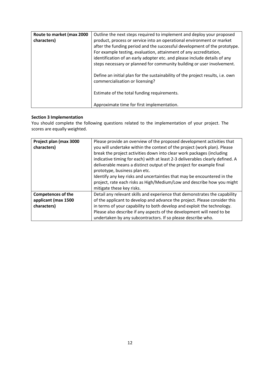| Route to market (max 2000<br>characters) | Outline the next steps required to implement and deploy your proposed<br>product, process or service into an operational environment or market<br>after the funding period and the successful development of the prototype.<br>For example testing, evaluation, attainment of any accreditation,<br>identification of an early adopter etc. and please include details of any |
|------------------------------------------|-------------------------------------------------------------------------------------------------------------------------------------------------------------------------------------------------------------------------------------------------------------------------------------------------------------------------------------------------------------------------------|
|                                          | steps necessary or planned for community building or user involvement.<br>Define an initial plan for the sustainability of the project results, i.e. own<br>commercialisation or licensing?                                                                                                                                                                                   |
|                                          | Estimate of the total funding requirements.<br>Approximate time for first implementation.                                                                                                                                                                                                                                                                                     |

# **Section 3 Implementation**

You should complete the following questions related to the implementation of your project. The scores are equally weighted.

| Project plan (max 3000<br>characters) | Please provide an overview of the proposed development activities that<br>you will undertake within the context of the project (work plan). Please<br>break the project activities down into clear work packages (including<br>indicative timing for each) with at least 2-3 deliverables clearly defined. A<br>deliverable means a distinct output of the project for example final<br>prototype, business plan etc.<br>Identify any key risks and uncertainties that may be encountered in the<br>project, rate each risks as High/Medium/Low and describe how you might<br>mitigate these key risks. |
|---------------------------------------|---------------------------------------------------------------------------------------------------------------------------------------------------------------------------------------------------------------------------------------------------------------------------------------------------------------------------------------------------------------------------------------------------------------------------------------------------------------------------------------------------------------------------------------------------------------------------------------------------------|
| <b>Competences of the</b>             | Detail any relevant skills and experience that demonstrates the capability                                                                                                                                                                                                                                                                                                                                                                                                                                                                                                                              |
| applicant (max 1500                   | of the applicant to develop and advance the project. Please consider this                                                                                                                                                                                                                                                                                                                                                                                                                                                                                                                               |
| characters)                           | in terms of your capability to both develop and exploit the technology.                                                                                                                                                                                                                                                                                                                                                                                                                                                                                                                                 |
|                                       | Please also describe if any aspects of the development will need to be                                                                                                                                                                                                                                                                                                                                                                                                                                                                                                                                  |
|                                       | undertaken by any subcontractors. If so please describe who.                                                                                                                                                                                                                                                                                                                                                                                                                                                                                                                                            |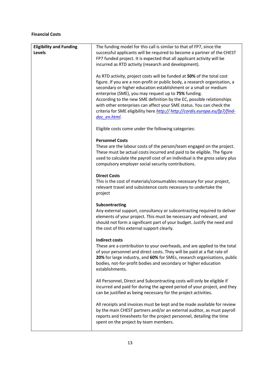#### **Financial Costs**

| <b>Eligibility and Funding</b> | The funding model for this call is similar to that of FP7, since the                                                                              |
|--------------------------------|---------------------------------------------------------------------------------------------------------------------------------------------------|
| <b>Levels</b>                  | successful applicants will be required to become a partner of the CHEST                                                                           |
|                                | FP7 funded project. It is expected that all applicant activity will be                                                                            |
|                                | incurred as RTD activity (research and development).                                                                                              |
|                                | As RTD activity, project costs will be funded at 50% of the total cost                                                                            |
|                                | figure. If you are a non-profit or public body, a research organisation, a                                                                        |
|                                | secondary or higher education establishment or a small or medium<br>enterprise (SME), you may request up to 75% funding.                          |
|                                | According to the new SME definition by the EC, possible relationships                                                                             |
|                                | with other enterprises can affect your SME status. You can check the                                                                              |
|                                | criteria for SME eligibility here http:// http://cordis.europa.eu/fp7/find-                                                                       |
|                                | doc en.html                                                                                                                                       |
|                                | Eligible costs come under the following categories:                                                                                               |
|                                | <b>Personnel Costs</b>                                                                                                                            |
|                                | These are the labour costs of the person/team engaged on the project.                                                                             |
|                                | These must be actual costs incurred and paid to be eligible. The figure                                                                           |
|                                | used to calculate the payroll cost of an individual is the gross salary plus                                                                      |
|                                | compulsory employer social security contributions.                                                                                                |
|                                | <b>Direct Costs</b>                                                                                                                               |
|                                | This is the cost of materials/consumables necessary for your project,                                                                             |
|                                | relevant travel and subsistence costs necessary to undertake the                                                                                  |
|                                | project                                                                                                                                           |
|                                | Subcontracting                                                                                                                                    |
|                                | Any external support, consultancy or subcontracting required to deliver                                                                           |
|                                | elements of your project. This must be necessary and relevant, and                                                                                |
|                                | should not form a significant part of your budget. Justify the need and                                                                           |
|                                | the cost of this external support clearly.                                                                                                        |
|                                | Indirect costs                                                                                                                                    |
|                                | These are a contribution to your overheads, and are applied to the total                                                                          |
|                                | of your personnel and direct costs. They will be paid at a flat rate of                                                                           |
|                                | 20% for large industry, and 60% for SMEs, research organisations, public                                                                          |
|                                | bodies, not-for-profit bodies and secondary or higher education                                                                                   |
|                                | establishments.                                                                                                                                   |
|                                | All Personnel, Direct and Subcontracting costs will only be eligible if                                                                           |
|                                | incurred and paid for during the agreed period of your project, and they                                                                          |
|                                | can be justified as being necessary for the project activities.                                                                                   |
|                                |                                                                                                                                                   |
|                                | All receipts and invoices must be kept and be made available for review<br>by the main CHEST partners and/or an external auditor, as must payroll |
|                                | reports and timesheets for the project personnel, detailing the time                                                                              |
|                                | spent on the project by team members.                                                                                                             |
|                                |                                                                                                                                                   |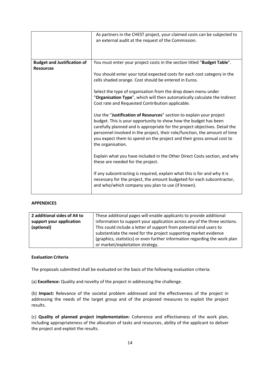|                                    | As partners in the CHEST project, your claimed costs can be subjected to<br>an external audit at the request of the Commission.                                                                                                                                                                                                                                                                      |
|------------------------------------|------------------------------------------------------------------------------------------------------------------------------------------------------------------------------------------------------------------------------------------------------------------------------------------------------------------------------------------------------------------------------------------------------|
| <b>Budget and Justification of</b> | You must enter your project costs in the section titled "Budget Table".                                                                                                                                                                                                                                                                                                                              |
| <b>Resources</b>                   | You should enter your total expected costs for each cost category in the<br>cells shaded orange. Cost should be entered in Euros.                                                                                                                                                                                                                                                                    |
|                                    | Select the type of organisation from the drop down menu under<br>"Organisation Type", which will then automatically calculate the Indirect<br>Cost rate and Requested Contribution applicable.                                                                                                                                                                                                       |
|                                    | Use the "Justification of Resources" section to explain your project<br>budget. This is your opportunity to show how the budget has been<br>carefully planned and is appropriate for the project objectives. Detail the<br>personnel involved in the project, their role/function, the amount of time<br>you expect them to spend on the project and their gross annual cost to<br>the organisation. |
|                                    | Explain what you have included in the Other Direct Costs section, and why<br>these are needed for the project.                                                                                                                                                                                                                                                                                       |
|                                    | If any subcontracting is required, explain what this is for and why it is<br>necessary for the project, the amount budgeted for each subcontractor,<br>and who/which company you plan to use (if known).                                                                                                                                                                                             |

#### **APPENDICES**

| 2 additional sides of A4 to | These additional pages will enable applicants to provide additional        |
|-----------------------------|----------------------------------------------------------------------------|
| support your application    | information to support your application across any of the three sections.  |
| (optional)                  | This could include a letter of support from potential end users to         |
|                             | substantiate the need for the project supporting market evidence           |
|                             | (graphics, statistics) or even further information regarding the work plan |
|                             | or market/exploitation strategy.                                           |

#### **Evaluation Criteria**

The proposals submitted shall be evaluated on the basis of the following evaluation criteria:

(a) **Excellence:** Quality and novelty of the project in addressing the challenge.

(b) **Impact:** Relevance of the societal problem addressed and the effectiveness of the project in addressing the needs of the target group and of the proposed measures to exploit the project results.

(c) **Quality of planned project implementation:** Coherence and effectiveness of the work plan, including appropriateness of the allocation of tasks and resources, ability of the applicant to deliver the project and exploit the results.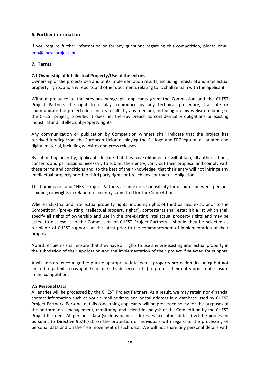# **6. Further information**

If you require further information or for any questions regarding this competition, please email [info@chest-project.eu.](mailto:info@chest-project.eu)

## **7. Terms**

## **7.1 Ownership of Intellectual Property/Use of the entries**

Ownership of the project/idea and of its implementation results, including industrial and intellectual property rights, and any reports and other documents relating to it, shall remain with the applicant.

Without prejudice to the previous paragraph, applicants grant the Commission and the CHEST Project Partners the right to display, reproduce by any technical procedure, translate or communicate the project/idea and its results by any medium, including on any website relating to the CHEST project, provided it does not thereby breach its confidentiality obligations or existing industrial and intellectual property rights.

Any communication or publication by Competition winners shall indicate that the project has received funding from the European Union displaying the EU logo and FP7 logo on all printed and digital material, including websites and press releases.

By submitting an entry, applicants declare that they have obtained, or will obtain, all authorisations, consents and permissions necessary to submit their entry, carry out their proposal and comply with these terms and conditions and, to the best of their knowledge, that their entry will not infringe any intellectual property or other third party rights or breach any contractual obligation.

The Commission and CHEST Project Partners assume no responsibility for disputes between persons claiming copyrights in relation to an entry submitted for the Competition.

Where industrial and intellectual property rights, including rights of third parties, exist, prior to the Competition ('pre-existing intellectual property rights'), contestants shall establish a list which shall specify all rights of ownership and use in the pre-existing intellectual property rights and may be asked to disclose it to the Commission or CHEST Project Partners – should they be selected as recipients of CHEST support– at the latest prior to the commencement of implementation of their proposal.

Award recipients shall ensure that they have all rights to use any pre-existing intellectual property in the submission of their application and the implementation of their project if selected for support.

Applicants are encouraged to pursue appropriate intellectual property protection (including but not limited to patents, copyright, trademark, trade secret, etc.) to protect their entry prior to disclosure in the competition.

## **7.2 Personal Data**

All entries will be processed by the CHEST Project Partners. As a result, we may retain non-financial contact information such as your e-mail address and postal address in a database used by CHEST Project Partners. Personal details concerning applicants will be processed solely for the purposes of the performance, management, monitoring and scientific analysis of the Competition by the CHEST Project Partners. All personal data (such as names, addresses and other details) will be processed pursuant to Directive 95/46/EC on the protection of individuals with regard to the processing of personal data and on the free movement of such data. We will not share any personal details with